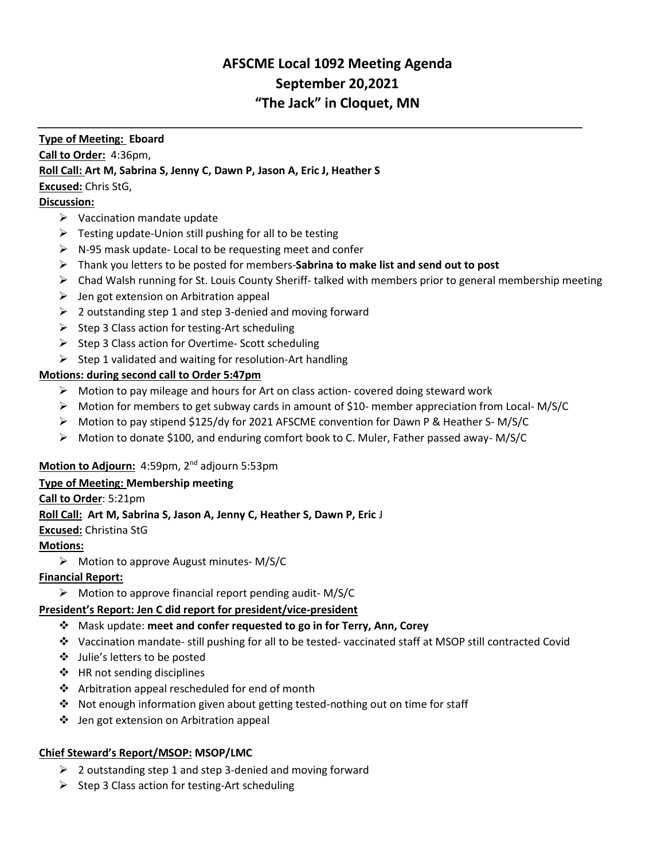# **AFSCME Local 1092 Meeting Agenda September 20,2021 "The Jack" in Cloquet, MN**

### **Type of Meeting: Eboard**

**Call to Order:** 4:36pm,

### **Roll Call: Art M, Sabrina S, Jenny C, Dawn P, Jason A, Eric J, Heather S**

**Excused:** Chris StG,

## **Discussion:**

- $\triangleright$  Vaccination mandate update
- $\triangleright$  Testing update-Union still pushing for all to be testing
- ➢ N-95 mask update- Local to be requesting meet and confer
- ➢ Thank you letters to be posted for members-**Sabrina to make list and send out to post**
- ➢ Chad Walsh running for St. Louis County Sheriff- talked with members prior to general membership meeting
- $\triangleright$  Jen got extension on Arbitration appeal
- $\geq 2$  outstanding step 1 and step 3-denied and moving forward
- ➢ Step 3 Class action for testing-Art scheduling
- ➢ Step 3 Class action for Overtime- Scott scheduling
- $\triangleright$  Step 1 validated and waiting for resolution-Art handling

### **Motions: during second call to Order 5:47pm**

- $\triangleright$  Motion to pay mileage and hours for Art on class action- covered doing steward work
- ➢ Motion for members to get subway cards in amount of \$10- member appreciation from Local- M/S/C
- ➢ Motion to pay stipend \$125/dy for 2021 AFSCME convention for Dawn P & Heather S- M/S/C
- ➢ Motion to donate \$100, and enduring comfort book to C. Muler, Father passed away- M/S/C

# **Motion to Adjourn:** 4:59pm, 2<sup>nd</sup> adjourn 5:53pm

### **Type of Meeting: Membership meeting**

### **Call to Order**: 5:21pm

### **Roll Call: Art M, Sabrina S, Jason A, Jenny C, Heather S, Dawn P, Eric** J

**Excused:** Christina StG

# **Motions:**

➢ Motion to approve August minutes- M/S/C

# **Financial Report:**

 $\triangleright$  Motion to approve financial report pending audit-M/S/C

# **President's Report: Jen C did report for president/vice-president**

- ❖ Mask update: **meet and confer requested to go in for Terry, Ann, Corey**
- ❖ Vaccination mandate- still pushing for all to be tested- vaccinated staff at MSOP still contracted Covid
- ❖ Julie's letters to be posted
- ❖ HR not sending disciplines
- ❖ Arbitration appeal rescheduled for end of month
- ❖ Not enough information given about getting tested-nothing out on time for staff
- ❖ Jen got extension on Arbitration appeal

# **Chief Steward's Report/MSOP: MSOP/LMC**

- ➢ 2 outstanding step 1 and step 3-denied and moving forward
- ➢ Step 3 Class action for testing-Art scheduling